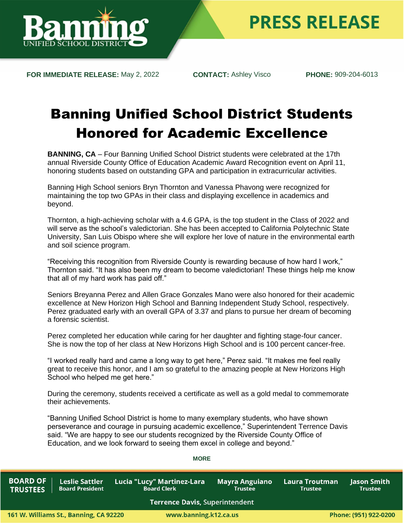

**FOR IMMEDIATE RELEASE:** May 2, 2022 **CONTACT:** Ashley Visco **PHONE:** 909-204-6013

## Banning Unified School District Students Honored for Academic Excellence

**BANNING, CA** – Four Banning Unified School District students were celebrated at the 17th annual Riverside County Office of Education Academic Award Recognition event on April 11, honoring students based on outstanding GPA and participation in extracurricular activities.

Banning High School seniors Bryn Thornton and Vanessa Phavong were recognized for maintaining the top two GPAs in their class and displaying excellence in academics and beyond.

Thornton, a high-achieving scholar with a 4.6 GPA, is the top student in the Class of 2022 and will serve as the school's valedictorian. She has been accepted to California Polytechnic State University, San Luis Obispo where she will explore her love of nature in the environmental earth and soil science program.

"Receiving this recognition from Riverside County is rewarding because of how hard I work," Thornton said. "It has also been my dream to become valedictorian! These things help me know that all of my hard work has paid off."

Seniors Breyanna Perez and Allen Grace Gonzales Mano were also honored for their academic excellence at New Horizon High School and Banning Independent Study School, respectively. Perez graduated early with an overall GPA of 3.37 and plans to pursue her dream of becoming a forensic scientist.

Perez completed her education while caring for her daughter and fighting stage-four cancer. She is now the top of her class at New Horizons High School and is 100 percent cancer-free.

"I worked really hard and came a long way to get here," Perez said. "It makes me feel really great to receive this honor, and I am so grateful to the amazing people at New Horizons High School who helped me get here."

During the ceremony, students received a certificate as well as a gold medal to commemorate their achievements.

"Banning Unified School District is home to many exemplary students, who have shown perseverance and courage in pursuing academic excellence," Superintendent Terrence Davis said. "We are happy to see our students recognized by the Riverside County Office of Education, and we look forward to seeing them excel in college and beyond."

| <b>BOARD OF</b><br><b>TRUSTEES</b> | <b>Leslie Sattler</b><br><b>Board President</b> | ˈ Lucia "Lucy" Martinez-Lara<br><b>Board Clerk</b> | <b>Mayra Anguiano</b><br><b>Trustee</b> | Laura Troutman<br><b>Trustee</b> | <b>Jason Smith</b><br>Trustee |  |
|------------------------------------|-------------------------------------------------|----------------------------------------------------|-----------------------------------------|----------------------------------|-------------------------------|--|
|                                    |                                                 | <b>Terrence Davis, Superintendent</b>              |                                         |                                  |                               |  |
|                                    | 61 W. Williams St., Banning, CA 92220           |                                                    | www.banning.k12.ca.us                   |                                  | Phone: (951) 922-0200         |  |

## **MORE**